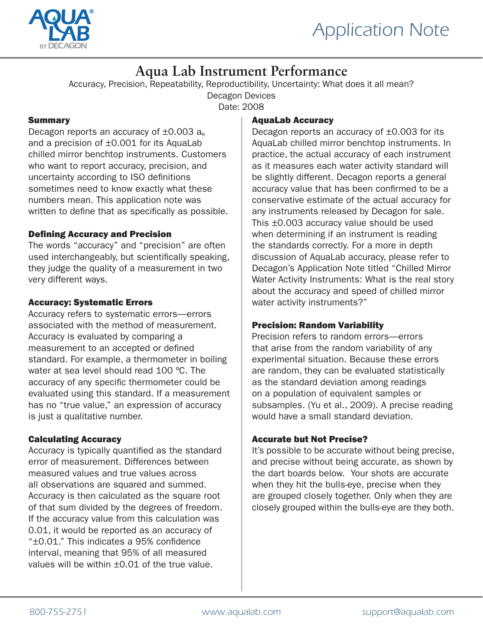

# **Aqua Lab Instrument Performance**

Accuracy, Precision, Repeatability, Reproductibility, Uncertainty: What does it all mean?

Decagon Devices

Date: 2008

### **Summary**

Decagon reports an accuracy of  $\pm 0.003$  a<sub>w</sub> and a precision of ±0.001 for its AquaLab chilled mirror benchtop instruments. Customers who want to report accuracy, precision, and uncertainty according to ISO definitions sometimes need to know exactly what these numbers mean. This application note was written to define that as specifically as possible.

# Defining Accuracy and Precision

The words "accuracy" and "precision" are often used interchangeably, but scientifically speaking, they judge the quality of a measurement in two very different ways.

# Accuracy: Systematic Errors

Accuracy refers to systematic errors—errors associated with the method of measurement. Accuracy is evaluated by comparing a measurement to an accepted or defined standard. For example, a thermometer in boiling water at sea level should read 100 ºC. The accuracy of any specific thermometer could be evaluated using this standard. If a measurement has no "true value," an expression of accuracy is just a qualitative number.

# Calculating Accuracy

Accuracy is typically quantified as the standard error of measurement. Differences between measured values and true values across all observations are squared and summed. Accuracy is then calculated as the square root of that sum divided by the degrees of freedom. If the accuracy value from this calculation was 0.01, it would be reported as an accuracy of "±0.01." This indicates a 95% confidence interval, meaning that 95% of all measured values will be within ±0.01 of the true value.

### AquaLab Accuracy

Decagon reports an accuracy of  $\pm 0.003$  for its AquaLab chilled mirror benchtop instruments. In practice, the actual accuracy of each instrument as it measures each water activity standard will be slightly different. Decagon reports a general accuracy value that has been confirmed to be a conservative estimate of the actual accuracy for any instruments released by Decagon for sale. This ±0.003 accuracy value should be used when determining if an instrument is reading the standards correctly. For a more in depth discussion of AquaLab accuracy, please refer to Decagon's Application Note titled "Chilled Mirror Water Activity Instruments: What is the real story about the accuracy and speed of chilled mirror water activity instruments?"

# Precision: Random Variability

Precision refers to random errors—errors that arise from the random variability of any experimental situation. Because these errors are random, they can be evaluated statistically as the standard deviation among readings on a population of equivalent samples or subsamples. (Yu et al., 2009). A precise reading would have a small standard deviation.

# Accurate but Not Precise?

It's possible to be accurate without being precise, and precise without being accurate, as shown by the dart boards below. Your shots are accurate when they hit the bulls-eye, precise when they are grouped closely together. Only when they are closely grouped within the bulls-eye are they both.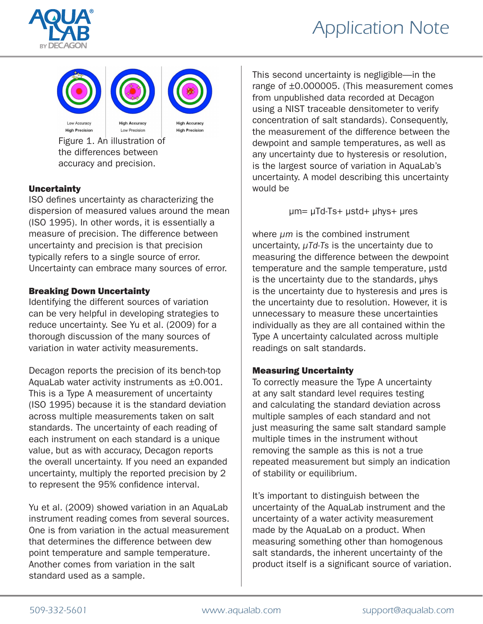

# *Application Note*





**High Accuracy High Precision** 

Figure 1. An illustration of the differences between accuracy and precision.

# Uncertainty

ISO defines uncertainty as characterizing the dispersion of measured values around the mean (ISO 1995). In other words, it is essentially a measure of precision. The difference between uncertainty and precision is that precision typically refers to a single source of error. Uncertainty can embrace many sources of error.

### Breaking Down Uncertainty

Identifying the different sources of variation can be very helpful in developing strategies to reduce uncertainty. See Yu et al. (2009) for a thorough discussion of the many sources of variation in water activity measurements.

Decagon reports the precision of its bench-top AquaLab water activity instruments as ±0.001. This is a Type A measurement of uncertainty (ISO 1995) because it is the standard deviation across multiple measurements taken on salt standards. The uncertainty of each reading of each instrument on each standard is a unique value, but as with accuracy, Decagon reports the overall uncertainty. If you need an expanded uncertainty, multiply the reported precision by 2 to represent the 95% confidence interval.

Yu et al. (2009) showed variation in an AquaLab instrument reading comes from several sources. One is from variation in the actual measurement that determines the difference between dew point temperature and sample temperature. Another comes from variation in the salt standard used as a sample.

This second uncertainty is negligible—in the range of ±0.000005. (This measurement comes from unpublished data recorded at Decagon using a NIST traceable densitometer to verify concentration of salt standards). Consequently, the measurement of the difference between the dewpoint and sample temperatures, as well as any uncertainty due to hysteresis or resolution, is the largest source of variation in AquaLab's uncertainty. A model describing this uncertainty would be

µm= µTd-Ts+ µstd+ µhys+ µres

where *µm* is the combined instrument uncertainty, *µTd-Ts* is the uncertainty due to measuring the difference between the dewpoint temperature and the sample temperature, µstd is the uncertainty due to the standards, µhys is the uncertainty due to hysteresis and µres is the uncertainty due to resolution. However, it is unnecessary to measure these uncertainties individually as they are all contained within the Type A uncertainty calculated across multiple readings on salt standards.

### Measuring Uncertainty

To correctly measure the Type A uncertainty at any salt standard level requires testing and calculating the standard deviation across multiple samples of each standard and not just measuring the same salt standard sample multiple times in the instrument without removing the sample as this is not a true repeated measurement but simply an indication of stability or equilibrium.

It's important to distinguish between the uncertainty of the AquaLab instrument and the uncertainty of a water activity measurement made by the AquaLab on a product. When measuring something other than homogenous salt standards, the inherent uncertainty of the product itself is a significant source of variation.